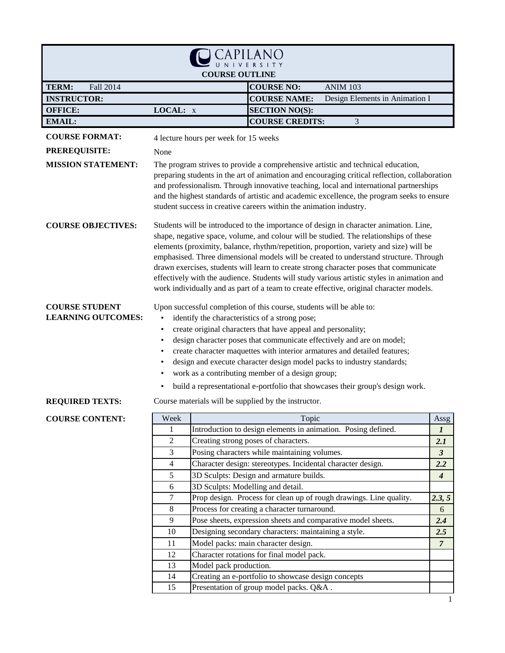|                                                    |                                                                                                                                                                                                                                                                                                                                                                                                                                                                                                                                                                                                                                                       | <b>COURSE OUTLINE</b>  |                                                                    |                                                                                                                                                                                                                                                                                                                                                                           |                      |
|----------------------------------------------------|-------------------------------------------------------------------------------------------------------------------------------------------------------------------------------------------------------------------------------------------------------------------------------------------------------------------------------------------------------------------------------------------------------------------------------------------------------------------------------------------------------------------------------------------------------------------------------------------------------------------------------------------------------|------------------------|--------------------------------------------------------------------|---------------------------------------------------------------------------------------------------------------------------------------------------------------------------------------------------------------------------------------------------------------------------------------------------------------------------------------------------------------------------|----------------------|
| TERM:<br>Fall 2014                                 |                                                                                                                                                                                                                                                                                                                                                                                                                                                                                                                                                                                                                                                       |                        | <b>COURSE NO:</b>                                                  | <b>ANIM 103</b>                                                                                                                                                                                                                                                                                                                                                           |                      |
| <b>INSTRUCTOR:</b>                                 |                                                                                                                                                                                                                                                                                                                                                                                                                                                                                                                                                                                                                                                       |                        | <b>COURSE NAME:</b>                                                | Design Elements in Animation I                                                                                                                                                                                                                                                                                                                                            |                      |
| <b>OFFICE:</b>                                     | LOCAL: x                                                                                                                                                                                                                                                                                                                                                                                                                                                                                                                                                                                                                                              |                        | <b>SECTION NO(S):</b>                                              |                                                                                                                                                                                                                                                                                                                                                                           |                      |
| <b>EMAIL:</b>                                      |                                                                                                                                                                                                                                                                                                                                                                                                                                                                                                                                                                                                                                                       |                        | <b>COURSE CREDITS:</b>                                             | 3                                                                                                                                                                                                                                                                                                                                                                         |                      |
| <b>COURSE FORMAT:</b>                              |                                                                                                                                                                                                                                                                                                                                                                                                                                                                                                                                                                                                                                                       |                        |                                                                    |                                                                                                                                                                                                                                                                                                                                                                           |                      |
|                                                    | 4 lecture hours per week for 15 weeks                                                                                                                                                                                                                                                                                                                                                                                                                                                                                                                                                                                                                 |                        |                                                                    |                                                                                                                                                                                                                                                                                                                                                                           |                      |
| <b>PREREQUISITE:</b>                               | None                                                                                                                                                                                                                                                                                                                                                                                                                                                                                                                                                                                                                                                  |                        |                                                                    |                                                                                                                                                                                                                                                                                                                                                                           |                      |
| <b>MISSION STATEMENT:</b>                          |                                                                                                                                                                                                                                                                                                                                                                                                                                                                                                                                                                                                                                                       |                        | student success in creative careers within the animation industry. | The program strives to provide a comprehensive artistic and technical education,<br>preparing students in the art of animation and encouraging critical reflection, collaboration<br>and professionalism. Through innovative teaching, local and international partnerships<br>and the highest standards of artistic and academic excellence, the program seeks to ensure |                      |
| <b>COURSE OBJECTIVES:</b>                          | Students will be introduced to the importance of design in character animation. Line,<br>shape, negative space, volume, and colour will be studied. The relationships of these<br>elements (proximity, balance, rhythm/repetition, proportion, variety and size) will be<br>emphasised. Three dimensional models will be created to understand structure. Through<br>drawn exercises, students will learn to create strong character poses that communicate<br>effectively with the audience. Students will study various artistic styles in animation and<br>work individually and as part of a team to create effective, original character models. |                        |                                                                    |                                                                                                                                                                                                                                                                                                                                                                           |                      |
| <b>COURSE STUDENT</b><br><b>LEARNING OUTCOMES:</b> | Upon successful completion of this course, students will be able to:<br>identify the characteristics of a strong pose;<br>create original characters that have appeal and personality;<br>$\bullet$<br>design character poses that communicate effectively and are on model;<br>$\bullet$<br>create character maquettes with interior armatures and detailed features;<br>$\bullet$<br>design and execute character design model packs to industry standards;<br>work as a contributing member of a design group;<br>build a representational e-portfolio that showcases their group's design work.                                                   |                        |                                                                    |                                                                                                                                                                                                                                                                                                                                                                           |                      |
| <b>REQUIRED TEXTS:</b>                             |                                                                                                                                                                                                                                                                                                                                                                                                                                                                                                                                                                                                                                                       |                        | Course materials will be supplied by the instructor.               |                                                                                                                                                                                                                                                                                                                                                                           |                      |
| <b>COURSE CONTENT:</b>                             | Week                                                                                                                                                                                                                                                                                                                                                                                                                                                                                                                                                                                                                                                  |                        | Topic                                                              |                                                                                                                                                                                                                                                                                                                                                                           | Assg                 |
|                                                    | 1                                                                                                                                                                                                                                                                                                                                                                                                                                                                                                                                                                                                                                                     |                        |                                                                    | Introduction to design elements in animation. Posing defined.                                                                                                                                                                                                                                                                                                             | $\boldsymbol{I}$     |
|                                                    | 2                                                                                                                                                                                                                                                                                                                                                                                                                                                                                                                                                                                                                                                     |                        | Creating strong poses of characters.                               |                                                                                                                                                                                                                                                                                                                                                                           | 2.1                  |
|                                                    | 3                                                                                                                                                                                                                                                                                                                                                                                                                                                                                                                                                                                                                                                     |                        | Posing characters while maintaining volumes.                       |                                                                                                                                                                                                                                                                                                                                                                           | $\boldsymbol{\beta}$ |
|                                                    | 4                                                                                                                                                                                                                                                                                                                                                                                                                                                                                                                                                                                                                                                     |                        | Character design: stereotypes. Incidental character design.        |                                                                                                                                                                                                                                                                                                                                                                           | 2.2                  |
|                                                    | 5                                                                                                                                                                                                                                                                                                                                                                                                                                                                                                                                                                                                                                                     |                        | 3D Sculpts: Design and armature builds.                            |                                                                                                                                                                                                                                                                                                                                                                           | $\boldsymbol{4}$     |
|                                                    | 6                                                                                                                                                                                                                                                                                                                                                                                                                                                                                                                                                                                                                                                     |                        | 3D Sculpts: Modelling and detail.                                  |                                                                                                                                                                                                                                                                                                                                                                           |                      |
|                                                    | 7                                                                                                                                                                                                                                                                                                                                                                                                                                                                                                                                                                                                                                                     |                        |                                                                    | Prop design. Process for clean up of rough drawings. Line quality.                                                                                                                                                                                                                                                                                                        | 2.3, 5               |
|                                                    | $\,8\,$                                                                                                                                                                                                                                                                                                                                                                                                                                                                                                                                                                                                                                               |                        | Process for creating a character turnaround.                       |                                                                                                                                                                                                                                                                                                                                                                           | 6                    |
|                                                    | $\overline{9}$<br>10                                                                                                                                                                                                                                                                                                                                                                                                                                                                                                                                                                                                                                  |                        | Designing secondary characters: maintaining a style.               | Pose sheets, expression sheets and comparative model sheets.                                                                                                                                                                                                                                                                                                              | 2.4<br>2.5           |
|                                                    | 11                                                                                                                                                                                                                                                                                                                                                                                                                                                                                                                                                                                                                                                    |                        | Model packs: main character design.                                |                                                                                                                                                                                                                                                                                                                                                                           | $\overline{7}$       |
|                                                    | 12                                                                                                                                                                                                                                                                                                                                                                                                                                                                                                                                                                                                                                                    |                        | Character rotations for final model pack.                          |                                                                                                                                                                                                                                                                                                                                                                           |                      |
|                                                    | 13                                                                                                                                                                                                                                                                                                                                                                                                                                                                                                                                                                                                                                                    | Model pack production. |                                                                    |                                                                                                                                                                                                                                                                                                                                                                           |                      |
|                                                    | 14                                                                                                                                                                                                                                                                                                                                                                                                                                                                                                                                                                                                                                                    |                        | Creating an e-portfolio to showcase design concepts                |                                                                                                                                                                                                                                                                                                                                                                           |                      |
|                                                    | 15                                                                                                                                                                                                                                                                                                                                                                                                                                                                                                                                                                                                                                                    |                        | Presentation of group model packs. Q&A.                            |                                                                                                                                                                                                                                                                                                                                                                           |                      |
|                                                    |                                                                                                                                                                                                                                                                                                                                                                                                                                                                                                                                                                                                                                                       |                        |                                                                    |                                                                                                                                                                                                                                                                                                                                                                           | 1                    |